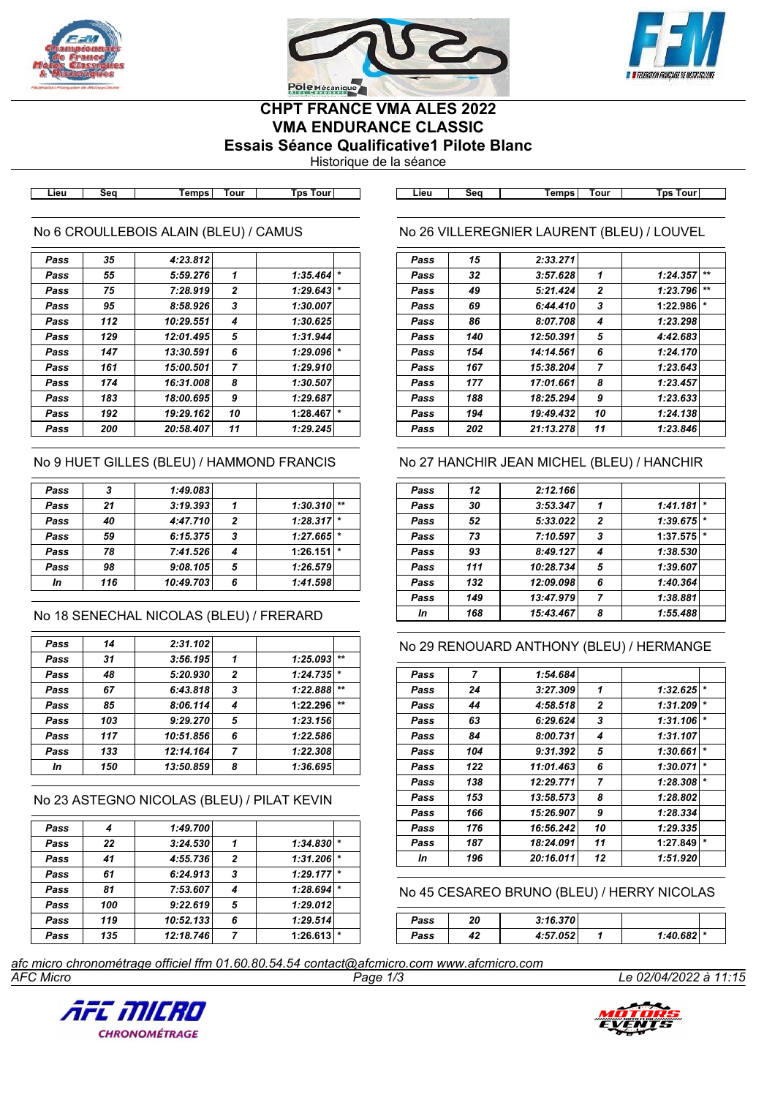





# **CHPT FRANCE VMA ALES 2022 VMA ENDURANCE CLASSIC Essais Séance Qualificative1 Pilote Blanc**

Historique de la séance

**Lieu Seq Temps Tour Tps Tour Lieu Seq Temps Tour Tps Tour**

#### No 6 CROULLEBOIS ALAIN (BLEU) / CAMUS

| Pass | 35  | 4:23.812  |                |          |         |
|------|-----|-----------|----------------|----------|---------|
| Pass | 55  | 5:59.276  | 1              | 1:35.464 | $\star$ |
| Pass | 75  | 7:28.919  | $\overline{2}$ | 1:29.643 | $\star$ |
| Pass | 95  | 8:58.926  | 3              | 1:30.007 |         |
| Pass | 112 | 10:29.551 | 4              | 1:30.625 |         |
| Pass | 129 | 12:01.495 | 5              | 1:31.944 |         |
| Pass | 147 | 13:30.591 | 6              | 1:29.096 | $\star$ |
| Pass | 161 | 15:00.501 | $\overline{7}$ | 1:29.910 |         |
| Pass | 174 | 16:31.008 | 8              | 1:30.507 |         |
| Pass | 183 | 18:00.695 | 9              | 1:29.687 |         |
| Pass | 192 | 19:29.162 | 10             | 1:28.467 | $\star$ |
| Pass | 200 | 20:58.407 | 11             | 1:29.245 |         |
|      |     |           |                |          |         |

# No 9 HUET GILLES (BLEU) / HAMMOND FRANCIS

| Pass |     | 1:49.083  |   |              |         |
|------|-----|-----------|---|--------------|---------|
| Pass | 21  | 3:19.393  |   | 1:30.310     | $***$   |
| Pass | 40  | 4:47.710  | 2 | $1:28.317$ * |         |
| Pass | 59  | 6:15.375  | 3 | 1:27.665     | $\ast$  |
| Pass | 78  | 7:41.526  | 4 | 1:26.151     | $\star$ |
| Pass | 98  | 9:08.105  | 5 | 1:26.579     |         |
| In   | 116 | 10:49.703 | 6 | 1:41.598     |         |
|      |     |           |   |              |         |

# No 18 SENECHAL NICOLAS (BLEU) / FRERARD

| Pass | 14  | 2:31.102  |                |          |         |
|------|-----|-----------|----------------|----------|---------|
| Pass | 31  | 3:56.195  | 1              | 1:25.093 | $***$   |
| Pass | 48  | 5:20.930  | $\overline{2}$ | 1:24.735 | $\star$ |
| Pass | 67  | 6:43.818  | 3              | 1:22.888 | $***$   |
| Pass | 85  | 8:06.114  | 4              | 1:22.296 | $+ +$   |
| Pass | 103 | 9:29.270  | 5              | 1:23.156 |         |
| Pass | 117 | 10:51.856 | 6              | 1:22.586 |         |
| Pass | 133 | 12:14.164 | 7              | 1:22.308 |         |
| In   | 150 | 13:50.859 | 8              | 1:36.695 |         |
|      |     |           |                |          |         |

# No 23 ASTEGNO NICOLAS (BLEU) / PILAT KEVIN

| Pass |     | 1:49.700  |                |          |         |
|------|-----|-----------|----------------|----------|---------|
| Pass | 22  | 3:24.530  |                | 1:34.830 | $\star$ |
| Pass | 41  | 4:55.736  | $\overline{2}$ | 1:31.206 | $\star$ |
| Pass | 61  | 6:24.913  | 3              | 1:29.177 | $\star$ |
| Pass | 81  | 7:53.607  | 4              | 1:28.694 | $\star$ |
| Pass | 100 | 9:22.619  | 5              | 1:29.012 |         |
| Pass | 119 | 10:52.133 | 6              | 1:29.514 |         |
| Pass | 135 | 12:18.746 | 7              | 1:26.613 | $\star$ |

# No 26 VILLEREGNIER LAURENT (BLEU) / LOUVEL

| Pass | 15  | 2:33.271  |                |          |         |
|------|-----|-----------|----------------|----------|---------|
| Pass | 32  | 3:57.628  | 1              | 1:24.357 | $***$   |
| Pass | 49  | 5:21.424  | $\mathbf{2}$   | 1:23.796 | $***$   |
| Pass | 69  | 6:44.410  | 3              | 1:22.986 | $\star$ |
| Pass | 86  | 8:07.708  | 4              | 1:23.298 |         |
| Pass | 140 | 12:50.391 | 5              | 4:42.683 |         |
| Pass | 154 | 14:14.561 | 6              | 1:24.170 |         |
| Pass | 167 | 15:38.204 | $\overline{7}$ | 1:23.643 |         |
| Pass | 177 | 17:01.661 | 8              | 1:23.457 |         |
| Pass | 188 | 18:25.294 | 9              | 1:23.633 |         |
| Pass | 194 | 19:49.432 | 10             | 1:24.138 |         |
| Pass | 202 | 21:13.278 | 11             | 1:23.846 |         |

### No 27 HANCHIR JEAN MICHEL (BLEU) / HANCHIR

| Pass | 12  | 2:12.166  |                |                     |  |
|------|-----|-----------|----------------|---------------------|--|
| Pass | 30  | 3:53.347  | 1              | $\star$<br>1:41.181 |  |
| Pass | 52  | 5:33.022  | $\overline{2}$ | 1:39.675            |  |
| Pass | 73  | 7:10.597  | 3              | 1:37.575            |  |
| Pass | 93  | 8:49.127  | 4              | 1:38.530            |  |
| Pass | 111 | 10:28.734 | 5              | 1:39.607            |  |
| Pass | 132 | 12:09.098 | 6              | 1:40.364            |  |
| Pass | 149 | 13:47.979 | 7              | 1:38.881            |  |
| In   | 168 | 15:43.467 | 8              | 1:55.488            |  |

#### No 29 RENOUARD ANTHONY (BLEU) / HERMANGE

| Pass | 7   | 1:54.684  |                |          |         |
|------|-----|-----------|----------------|----------|---------|
| Pass | 24  | 3:27.309  | 1              | 1:32.625 | $\star$ |
| Pass | 44  | 4:58.518  | 2              | 1:31.209 | $\star$ |
| Pass | 63  | 6:29.624  | 3              | 1:31.106 | $\ast$  |
| Pass | 84  | 8:00.731  | 4              | 1:31.107 |         |
| Pass | 104 | 9:31.392  | 5              | 1:30.661 | $\star$ |
| Pass | 122 | 11:01.463 | 6              | 1:30.071 | $\ast$  |
| Pass | 138 | 12:29.771 | $\overline{7}$ | 1:28.308 | $\ast$  |
| Pass | 153 | 13:58.573 | 8              | 1:28.802 |         |
| Pass | 166 | 15:26.907 | 9              | 1:28.334 |         |
| Pass | 176 | 16:56.242 | 10             | 1:29.335 |         |
| Pass | 187 | 18:24.091 | 11             | 1:27.849 | $\ast$  |
| In   | 196 | 20:16.011 | 12             | 1:51.920 |         |

# No 45 CESAREO BRUNO (BLEU) / HERRY NICOLAS

| Pass | מר | 3:16.370 |              |  |
|------|----|----------|--------------|--|
| Pass |    | 052      | $1:40.682$ * |  |

*AFC Micro Page 1/3 Le 02/04/2022 à 11:15 afc micro chronométrage officiel ffm 01.60.80.54.54 contact@afcmicro.com www.afcmicro.com*



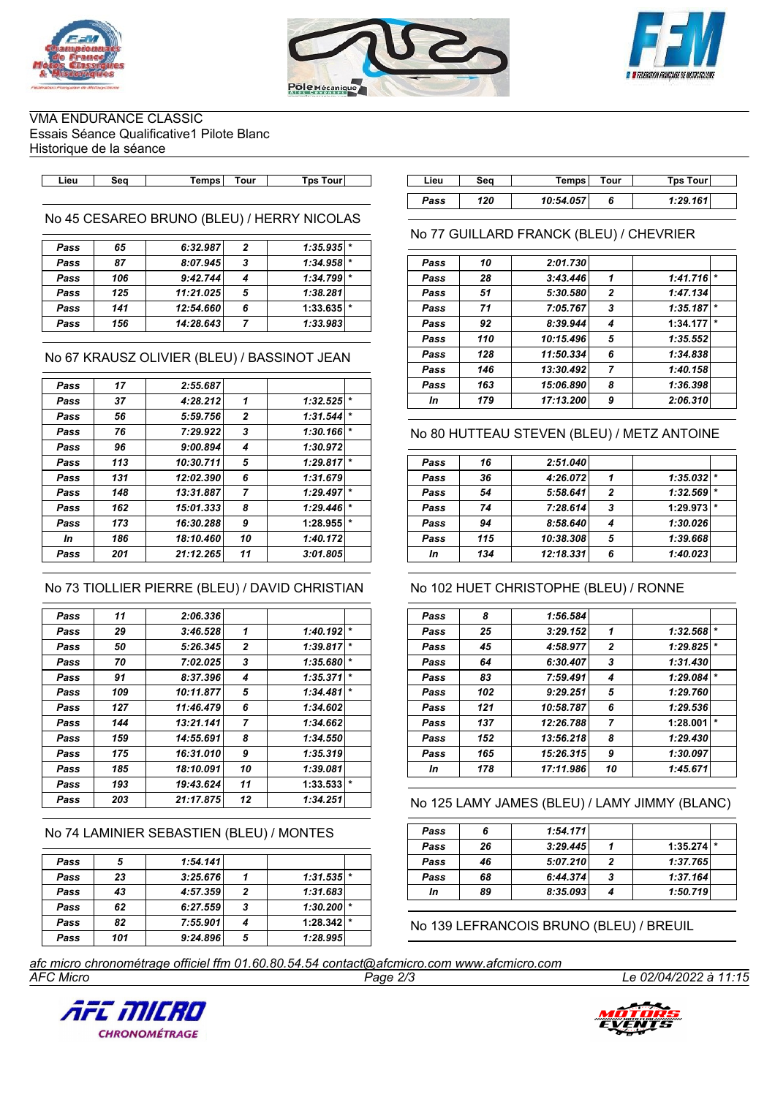





VMA ENDURANCE CLASSIC Essais Séance Qualificative1 Pilote Blanc Historique de la séance

**Lieu Seq Temps Tour Tps Tour Lieu Seq Temps Tour Tps Tour**

No 45 CESAREO BRUNO (BLEU) / HERRY NICOLAS

| Pass | 65  | 6:32.987  | 2 | $1:35.935$  *           |  |
|------|-----|-----------|---|-------------------------|--|
| Pass | 87  | 8:07.945  | 3 | $1:34.958$ *            |  |
| Pass | 106 | 9:42.744  |   | $1:34.799$ <sup>*</sup> |  |
| Pass | 125 | 11:21.025 | 5 | 1:38.281                |  |
| Pass | 141 | 12:54.660 | 6 | $1:33.635$ $*$          |  |
| Pass | 156 | 14:28.643 |   | 1:33.983                |  |
|      |     |           |   |                         |  |

#### No 67 KRAUSZ OLIVIER (BLEU) / BASSINOT JEAN

| Pass | 17  | 2:55.687  |    |          |         |
|------|-----|-----------|----|----------|---------|
| Pass | 37  | 4:28.212  | 1  | 1:32.525 |         |
| Pass | 56  | 5:59.756  | 2  | 1:31.544 |         |
| Pass | 76  | 7:29.922  | 3  | 1:30.166 |         |
| Pass | 96  | 9:00.894  | 4  | 1:30.972 |         |
| Pass | 113 | 10:30.711 | 5  | 1:29.817 | $\star$ |
| Pass | 131 | 12:02.390 | 6  | 1:31.679 |         |
| Pass | 148 | 13:31.887 | 7  | 1:29.497 | $\star$ |
| Pass | 162 | 15:01.333 | 8  | 1:29.446 | $\star$ |
| Pass | 173 | 16:30.288 | 9  | 1:28.955 | $\star$ |
| In   | 186 | 18:10.460 | 10 | 1:40.172 |         |
| Pass | 201 | 21:12.265 | 11 | 3:01.805 |         |

#### No 73 TIOLLIER PIERRE (BLEU) / DAVID CHRISTIAN

| Pass | 11  | 2:06.336  |    |          |         |
|------|-----|-----------|----|----------|---------|
| Pass | 29  | 3:46.528  | 1  | 1:40.192 |         |
| Pass | 50  | 5:26.345  | 2  | 1:39.817 | $\star$ |
| Pass | 70  | 7:02.025  | 3  | 1:35.680 | $\star$ |
| Pass | 91  | 8:37.396  | 4  | 1:35.371 | $\star$ |
| Pass | 109 | 10:11.877 | 5  | 1:34.481 | $\star$ |
| Pass | 127 | 11:46.479 | 6  | 1:34.602 |         |
| Pass | 144 | 13:21.141 | 7  | 1:34.662 |         |
| Pass | 159 | 14:55.691 | 8  | 1:34.550 |         |
| Pass | 175 | 16:31.010 | 9  | 1:35.319 |         |
| Pass | 185 | 18:10.091 | 10 | 1:39.081 |         |
| Pass | 193 | 19:43.624 | 11 | 1:33.533 | $\star$ |
| Pass | 203 | 21:17.875 | 12 | 1:34.251 |         |

### No 74 LAMINIER SEBASTIEN (BLEU) / MONTES

| Pass |     | 1:54.141 |   |                |  |
|------|-----|----------|---|----------------|--|
| Pass | 23  | 3:25.676 |   | $1:31.535$ *   |  |
| Pass | 43  | 4:57.359 | 2 | 1:31.683       |  |
| Pass | 62  | 6:27.559 | 3 | $1:30.200$  *  |  |
| Pass | 82  | 7:55.901 |   | $1:28.342$ $*$ |  |
| Pass | 101 | 9:24.896 | 5 | 1:28.995       |  |

| Lieu | Sea | Temps     | Tour | Tps Tourl |  |
|------|-----|-----------|------|-----------|--|
| Pass | 120 | 10:54.057 |      | 1:29.161  |  |

### No 77 GUILLARD FRANCK (BLEU) / CHEVRIER

| Pass | 10  | 2:01.730  |                |          |         |
|------|-----|-----------|----------------|----------|---------|
| Pass | 28  | 3:43.446  | 1              | 1:41.716 | $\ast$  |
| Pass | 51  | 5:30.580  | $\overline{2}$ | 1:47.134 |         |
| Pass | 71  | 7:05.767  | 3              | 1:35.187 | $\ast$  |
| Pass | 92  | 8:39.944  | 4              | 1:34.177 | $\star$ |
| Pass | 110 | 10:15.496 | 5              | 1:35.552 |         |
| Pass | 128 | 11:50.334 | 6              | 1:34.838 |         |
| Pass | 146 | 13:30.492 | 7              | 1:40.158 |         |
| Pass | 163 | 15:06.890 | 8              | 1:36.398 |         |
| In   | 179 | 17:13.200 | 9              | 2:06.310 |         |

### No 80 HUTTEAU STEVEN (BLEU) / METZ ANTOINE

| Pass | 16  | 2:51.040  |   |              |         |
|------|-----|-----------|---|--------------|---------|
| Pass | 36  | 4:26.072  |   | 1:35.032     |         |
| Pass | 54  | 5:58.641  | 2 | 1:32.569     | $\star$ |
| Pass | 74  | 7:28.614  | 3 | $1:29.973$ * |         |
| Pass | 94  | 8:58.640  | 4 | 1:30.026     |         |
| Pass | 115 | 10:38.308 | 5 | 1:39.668     |         |
| In   | 134 | 12:18.331 | 6 | 1:40.023     |         |

# No 102 HUET CHRISTOPHE (BLEU) / RONNE

| Pass | 8   | 1:56.584  |                |                     |  |
|------|-----|-----------|----------------|---------------------|--|
| Pass | 25  | 3:29.152  | 1              | $\star$<br>1:32.568 |  |
| Pass | 45  | 4:58.977  | $\overline{2}$ | $\star$<br>1:29.825 |  |
| Pass | 64  | 6:30.407  | 3              | 1:31.430            |  |
| Pass | 83  | 7:59.491  | 4              | $\star$<br>1:29.084 |  |
| Pass | 102 | 9:29.251  | 5              | 1:29.760            |  |
| Pass | 121 | 10:58.787 | 6              | 1:29.536            |  |
| Pass | 137 | 12:26.788 | $\overline{7}$ | $\star$<br>1:28.001 |  |
| Pass | 152 | 13:56.218 | 8              | 1:29.430            |  |
| Pass | 165 | 15:26.315 | 9              | 1:30.097            |  |
| In   | 178 | 17:11.986 | 10             | 1:45.671            |  |

# No 125 LAMY JAMES (BLEU) / LAMY JIMMY (BLANC)

| Pass | 6  | 1:54.171 |   |              |  |
|------|----|----------|---|--------------|--|
| Pass | 26 | 3:29.445 |   | $1:35.274$ * |  |
| Pass | 46 | 5:07.210 |   | 1:37.765     |  |
| Pass | 68 | 6:44.374 | 3 | 1:37.164     |  |
| In   | 89 | 8:35.093 |   | 1:50.719     |  |

No 139 LEFRANCOIS BRUNO (BLEU) / BREUIL

*AFC Micro Page 2/3 Le 02/04/2022 à 11:15 afc micro chronométrage officiel ffm 01.60.80.54.54 contact@afcmicro.com www.afcmicro.com*